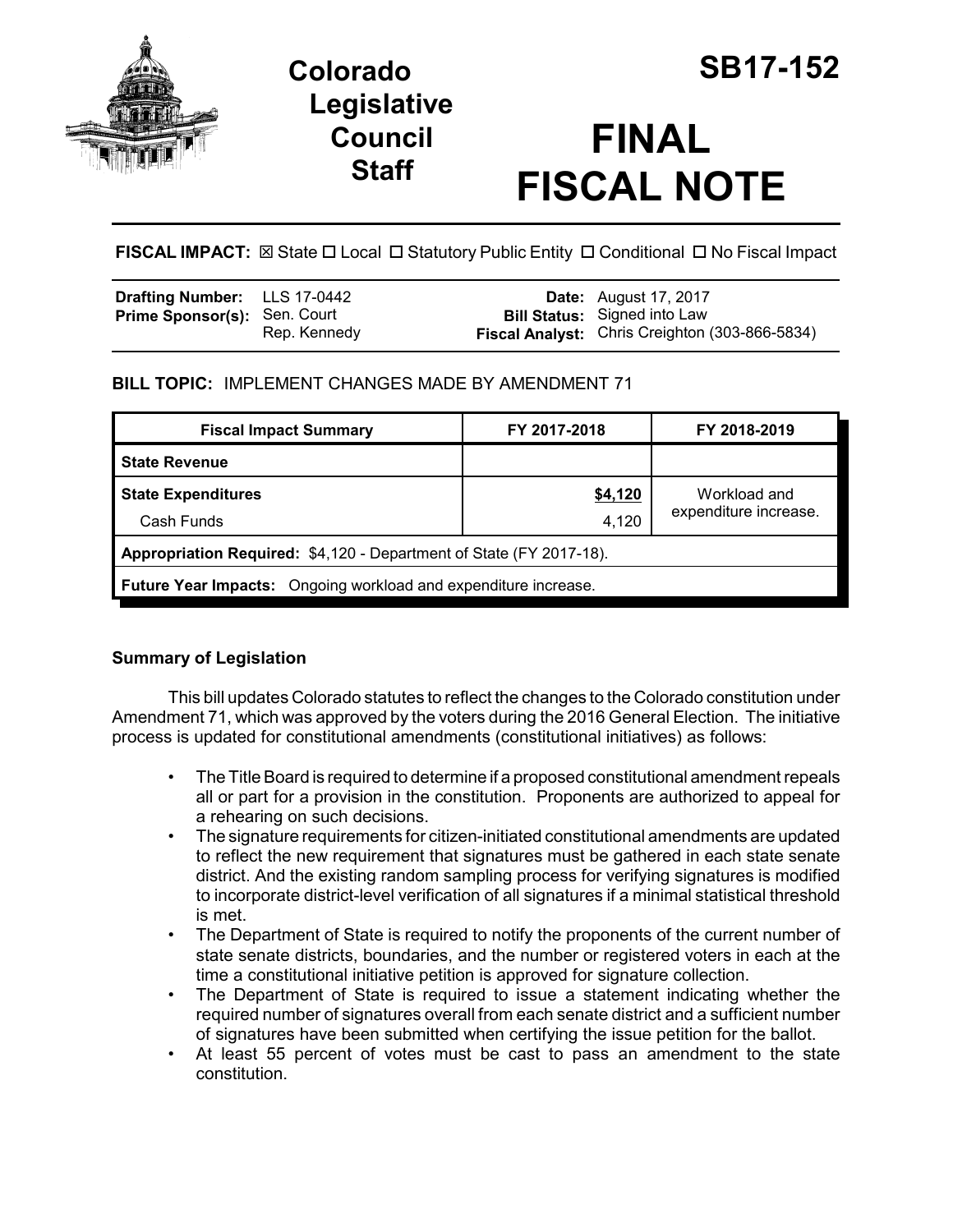

## **Legislative Council Staff**

# **FINAL FISCAL NOTE**

FISCAL IMPACT:  $\boxtimes$  State  $\Box$  Local  $\Box$  Statutory Public Entity  $\Box$  Conditional  $\Box$  No Fiscal Impact

| <b>Drafting Number:</b> LLS 17-0442 |              | <b>Date:</b> August 17, 2017                                                          |
|-------------------------------------|--------------|---------------------------------------------------------------------------------------|
| <b>Prime Sponsor(s): Sen. Court</b> | Rep. Kennedy | <b>Bill Status:</b> Signed into Law<br>Fiscal Analyst: Chris Creighton (303-866-5834) |

### **BILL TOPIC:** IMPLEMENT CHANGES MADE BY AMENDMENT 71

| <b>Fiscal Impact Summary</b>                                        | FY 2017-2018 | FY 2018-2019          |  |  |  |
|---------------------------------------------------------------------|--------------|-----------------------|--|--|--|
| <b>State Revenue</b>                                                |              |                       |  |  |  |
| <b>State Expenditures</b>                                           | \$4,120      | Workload and          |  |  |  |
| Cash Funds                                                          | 4,120        | expenditure increase. |  |  |  |
| Appropriation Required: \$4,120 - Department of State (FY 2017-18). |              |                       |  |  |  |
| Future Year Impacts: Ongoing workload and expenditure increase.     |              |                       |  |  |  |

## **Summary of Legislation**

This bill updates Colorado statutes to reflect the changes to the Colorado constitution under Amendment 71, which was approved by the voters during the 2016 General Election. The initiative process is updated for constitutional amendments (constitutional initiatives) as follows:

- The Title Board is required to determine if a proposed constitutional amendment repeals all or part for a provision in the constitution. Proponents are authorized to appeal for a rehearing on such decisions.
- The signature requirements for citizen-initiated constitutional amendments are updated to reflect the new requirement that signatures must be gathered in each state senate district. And the existing random sampling process for verifying signatures is modified to incorporate district-level verification of all signatures if a minimal statistical threshold is met.
- The Department of State is required to notify the proponents of the current number of state senate districts, boundaries, and the number or registered voters in each at the time a constitutional initiative petition is approved for signature collection.
- The Department of State is required to issue a statement indicating whether the required number of signatures overall from each senate district and a sufficient number of signatures have been submitted when certifying the issue petition for the ballot.
- At least 55 percent of votes must be cast to pass an amendment to the state constitution.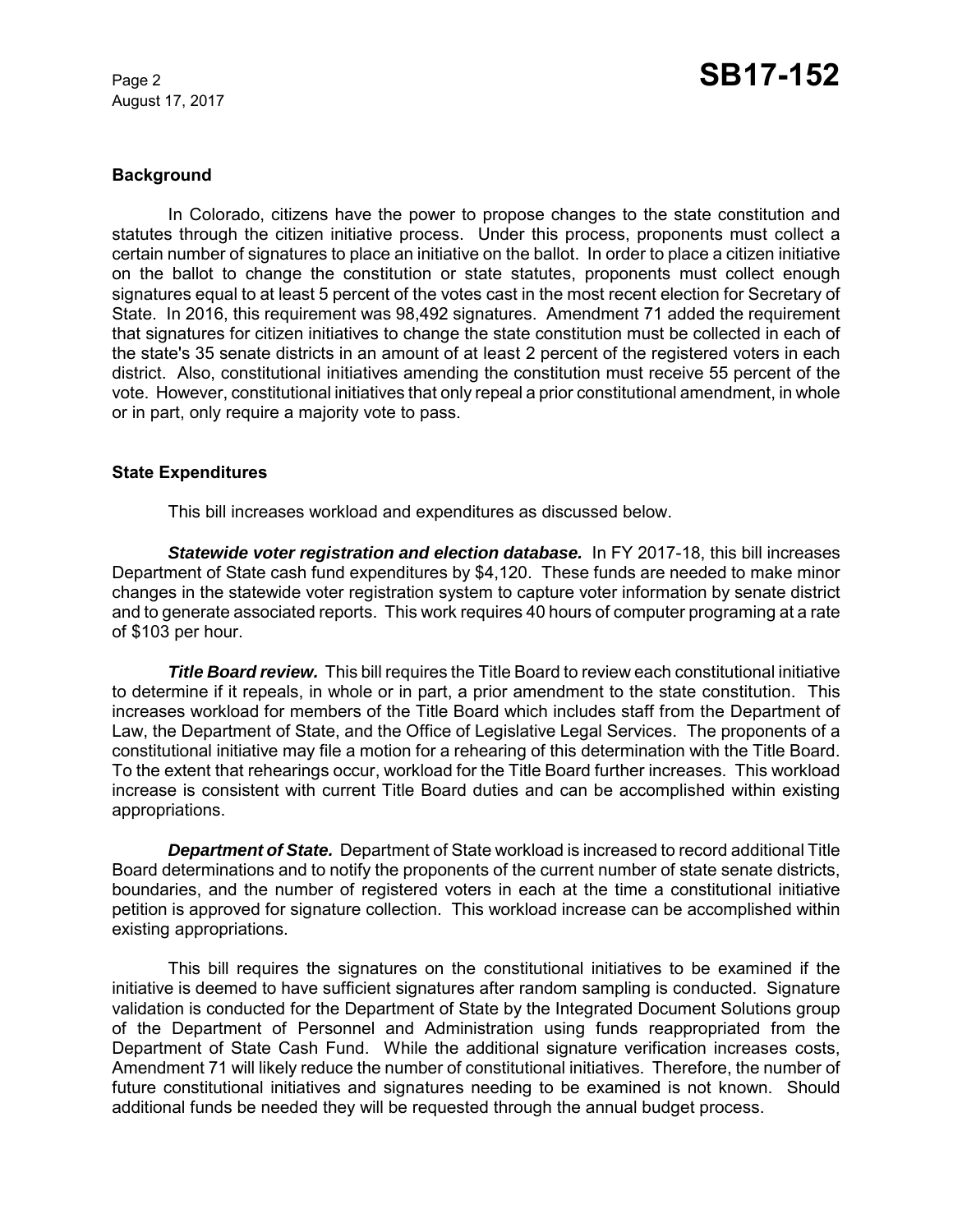August 17, 2017

#### **Background**

In Colorado, citizens have the power to propose changes to the state constitution and statutes through the citizen initiative process. Under this process, proponents must collect a certain number of signatures to place an initiative on the ballot. In order to place a citizen initiative on the ballot to change the constitution or state statutes, proponents must collect enough signatures equal to at least 5 percent of the votes cast in the most recent election for Secretary of State. In 2016, this requirement was 98,492 signatures. Amendment 71 added the requirement that signatures for citizen initiatives to change the state constitution must be collected in each of the state's 35 senate districts in an amount of at least 2 percent of the registered voters in each district. Also, constitutional initiatives amending the constitution must receive 55 percent of the vote. However, constitutional initiatives that only repeal a prior constitutional amendment, in whole or in part, only require a majority vote to pass.

#### **State Expenditures**

This bill increases workload and expenditures as discussed below.

**Statewide voter registration and election database.** In FY 2017-18, this bill increases Department of State cash fund expenditures by \$4,120. These funds are needed to make minor changes in the statewide voter registration system to capture voter information by senate district and to generate associated reports. This work requires 40 hours of computer programing at a rate of \$103 per hour.

*Title Board review.* This bill requires the Title Board to review each constitutional initiative to determine if it repeals, in whole or in part, a prior amendment to the state constitution. This increases workload for members of the Title Board which includes staff from the Department of Law, the Department of State, and the Office of Legislative Legal Services. The proponents of a constitutional initiative may file a motion for a rehearing of this determination with the Title Board. To the extent that rehearings occur, workload for the Title Board further increases. This workload increase is consistent with current Title Board duties and can be accomplished within existing appropriations.

*Department of State.* Department of State workload is increased to record additional Title Board determinations and to notify the proponents of the current number of state senate districts, boundaries, and the number of registered voters in each at the time a constitutional initiative petition is approved for signature collection. This workload increase can be accomplished within existing appropriations.

This bill requires the signatures on the constitutional initiatives to be examined if the initiative is deemed to have sufficient signatures after random sampling is conducted. Signature validation is conducted for the Department of State by the Integrated Document Solutions group of the Department of Personnel and Administration using funds reappropriated from the Department of State Cash Fund. While the additional signature verification increases costs, Amendment 71 will likely reduce the number of constitutional initiatives. Therefore, the number of future constitutional initiatives and signatures needing to be examined is not known. Should additional funds be needed they will be requested through the annual budget process.